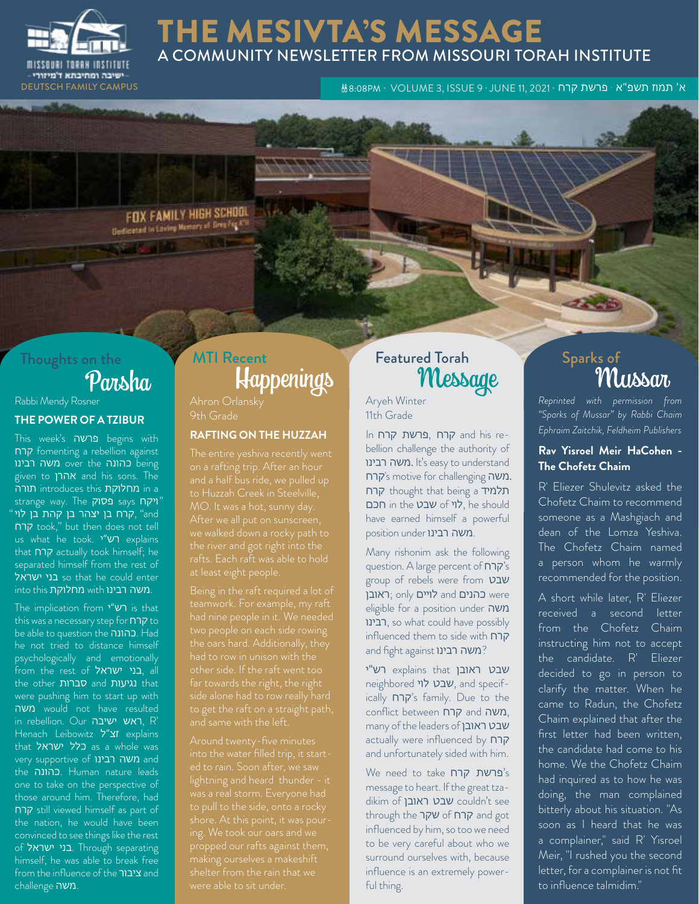

## THE MESIVTA'S MESSAGE A COMMUNITY NEWSLETTER FROM MISSOURI TORAH INSTITUTE

א' תמוז תשפ"א · פרשת קרח · VOLUME 3, ISSUE 9 · JUNE 11, 2021 · האוד • פרשת קרח · BEUTSCH FAMILY CAMPUS ו- הוא

FOX FAMILY HIGH SCHOOL Designted in Loving Memory of Gree-Fax AT

# Thoughts on the

## Rabbi Mendy Rosner **THE POWER OF A TZIBUR**

This week's פרשה begins with קרח fomenting a rebellion against being כהונה over the משה רבינו given to אהרן and his sons. The תורה introduces this מחלוקת in a strange way. The <mark>פסוק</mark> says "ויקח "קרח בן יצהר בן קהת בן לוי, fand קרח took," but then does not tell us what he took. י"רש explains that קרח actually took himself; he separated himself from the rest of so that he could enter into this מחלוקת with into this .

The implication from י"רש is that this was a necessary step for קרח be able to question the כהונה. Had he not tried to distance himself psychologically and emotionally from the rest of ישראל בני, all the other סברות and נגיעות that were pushing him to start up with משה would not have resulted in rebellion. Our ישיבה ראש, R' Henach Leibowitz ל"זצ explains that כלל ישראל as a whole was very supportive of משה רבינו the כהונה. Human nature leads one to take on the perspective of those around him. Therefore, had קרח still viewed himself as part of the nation, he would have been convinced to see things like the rest of יבני ישראל. Through separating himself, he was able to break free from the influence of the ציבור and .משה challenge

# Parsha Happenings MTI Recent **Featured Torah**

9th Grade

### **RAFTING ON THE HUZZAH**

had nine people in it. We needed

lightning and heard thunder - it propped our rafts against them, were able to sit under.

# ed Torah Sparks of Sparks of

Aryeh Winter 11th Grade

In קרח פרשת, קרח and his rebellion challenge the authority of משה רבינו. It's easy to understand קרח's motive for challenging משה .קרח thought that being a תלמיד חכם in the שבט of לוי, he should have earned himself a powerful position under ומשה רבינו.

Many rishonim ask the following question. A large percent of קרח group of rebels were from שבט were כהנים and לויים only; ראובן eligible for a position under משה רבינו, so what could have possibly influenced them to side with קרח and fight against **רבינו**?

שבט ראובן that explains רש"י neighbored לוי שבט, and specifically קרח's family. Due to the conflict between קרח and משה, many of the leaders of ראובן שבט actually were influenced by קרח and unfortunately sided with him.

We need to take קרח פרשת's message to heart. If the great tzadikim of ראובן שבט couldn't see through the קרח of שקר influenced by him, so too we need to be very careful about who we surround ourselves with, because influence is an extremely powerful thing.

*Reprinted with permission from "Sparks of Mussar" by Rabbi Chaim Ephraim Zaitchik, Feldheim Publishers*

## **Rav Yisroel Meir HaCohen - The Chofetz Chaim**

R' Eliezer Shulevitz asked the Chofetz Chaim to recommend someone as a Mashgiach and dean of the Lomza Yeshiva. The Chofetz Chaim named a person whom he warmly recommended for the position.

A short while later, R' Eliezer received a second letter from the Chofetz Chaim instructing him not to accept the candidate. R' Eliezer decided to go in person to clarify the matter. When he came to Radun, the Chofetz Chaim explained that after the first letter had been written, the candidate had come to his home. We the Chofetz Chaim had inquired as to how he was doing, the man complained bitterly about his situation. "As soon as I heard that he was a complainer," said R' Yisroel Meir, "I rushed you the second letter, for a complainer is not fit to influence talmidim."